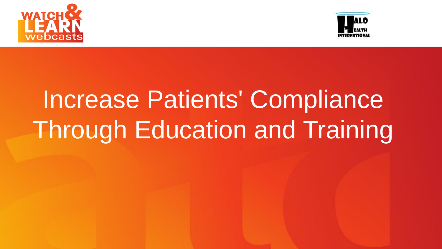



# Increase Patients' Compliance **Through Education and Training**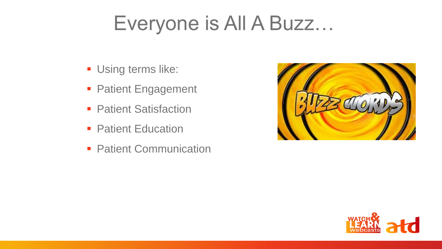## Everyone is All A Buzz…

- **Using terms like:**
- **Patient Engagement**
- **Patient Satisfaction**
- **Patient Education**
- **Patient Communication**



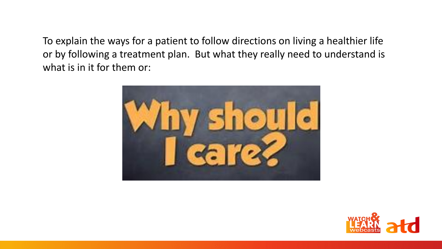To explain the ways for a patient to follow directions on living a healthier life or by following a treatment plan. But what they really need to understand is what is in it for them or:



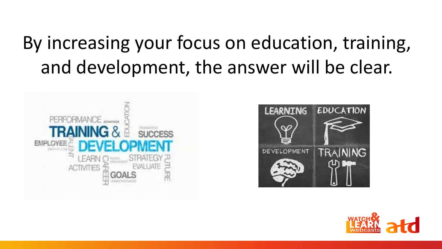## By increasing your focus on education, training, and development, the answer will be clear.





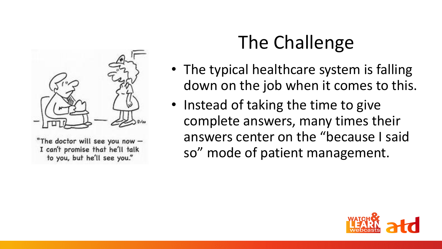

"The doctor will see you now -I can't promise that he'll talk to you, but he'll see you."

## The Challenge

- The typical healthcare system is falling down on the job when it comes to this.
- Instead of taking the time to give complete answers, many times their answers center on the "because I said so" mode of patient management.

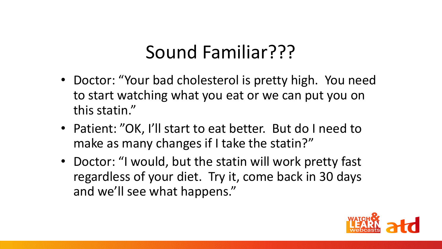#### Sound Familiar???

- Doctor: "Your bad cholesterol is pretty high. You need to start watching what you eat or we can put you on this statin."
- Patient: "OK, I'll start to eat better. But do I need to make as many changes if I take the statin?"
- Doctor: "I would, but the statin will work pretty fast regardless of your diet. Try it, come back in 30 days and we'll see what happens."

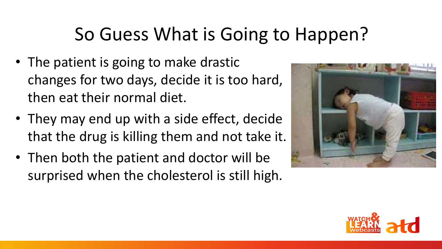### So Guess What is Going to Happen?

- The patient is going to make drastic changes for two days, decide it is too hard, then eat their normal diet.
- They may end up with a side effect, decide that the drug is killing them and not take it.
- Then both the patient and doctor will be surprised when the cholesterol is still high.



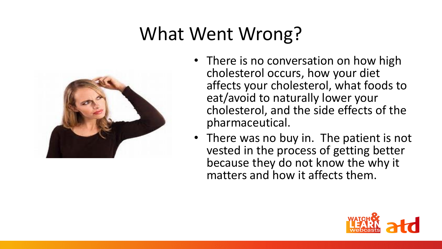## What Went Wrong?



- There is no conversation on how high cholesterol occurs, how your diet affects your cholesterol, what foods to eat/avoid to naturally lower your cholesterol, and the side effects of the pharmaceutical.
- There was no buy in. The patient is not vested in the process of getting better because they do not know the why it matters and how it affects them.

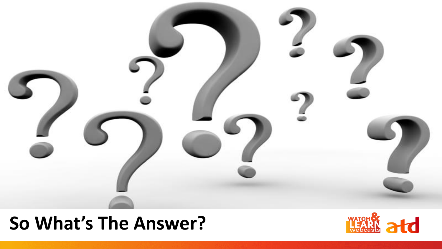

#### **So What's The Answer?**

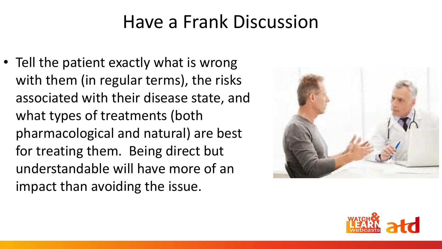#### Have a Frank Discussion

• Tell the patient exactly what is wrong with them (in regular terms), the risks associated with their disease state, and what types of treatments (both pharmacological and natural) are best for treating them. Being direct but understandable will have more of an impact than avoiding the issue.



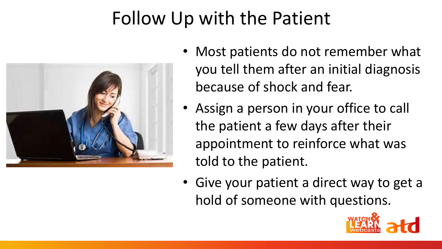## Follow Up with the Patient



- Most patients do not remember what you tell them after an initial diagnosis because of shock and fear.
- Assign a person in your office to call the patient a few days after their appointment to reinforce what was told to the patient.
- Give your patient a direct way to get a hold of someone with questions.

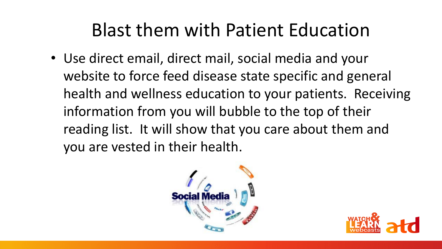#### Blast them with Patient Education

• Use direct email, direct mail, social media and your website to force feed disease state specific and general health and wellness education to your patients. Receiving information from you will bubble to the top of their reading list. It will show that you care about them and you are vested in their health.



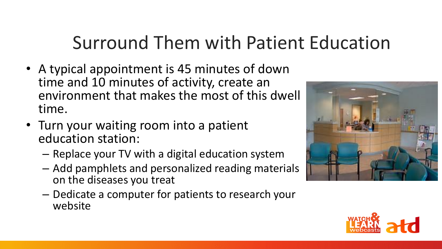## Surround Them with Patient Education

- A typical appointment is 45 minutes of down time and 10 minutes of activity, create an environment that makes the most of this dwell time.
- Turn your waiting room into a patient education station:
	- Replace your TV with a digital education system
	- Add pamphlets and personalized reading materials on the diseases you treat
	- Dedicate a computer for patients to research your website



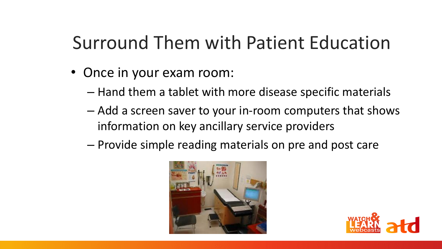## Surround Them with Patient Education

- Once in your exam room:
	- Hand them a tablet with more disease specific materials
	- Add a screen saver to your in-room computers that shows information on key ancillary service providers
	- Provide simple reading materials on pre and post care



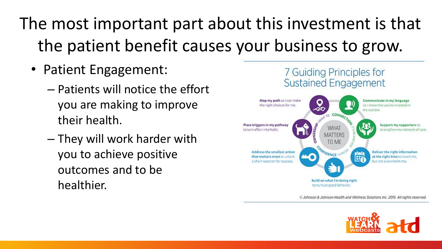- Patient Engagement:
	- Patients will notice the effort you are making to improve their health.
	- They will work harder with you to achieve positive outcomes and to be healthier.



C Johnson & Johnson Health and Wellness Solutions Inc. 2015 All rights reserved.

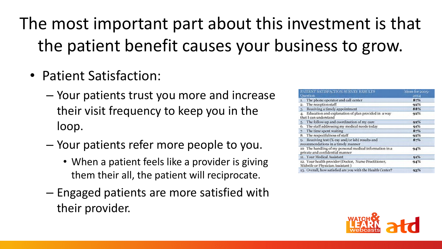- Patient Satisfaction:
	- Your patients trust you more and increase their visit frequency to keep you in the loop.
	- Your patients refer more people to you.
		- When a patient feels like a provider is giving them their all, the patient will reciprocate.
	- Engaged patients are more satisfied with their provider.

| PATIENT SATISFACTION SURVEY RESULTS<br><b>Cucstion</b>                                     | Mean for 2005-<br>2014 |
|--------------------------------------------------------------------------------------------|------------------------|
| The phone operator and call center<br>ь.                                                   | $8 - 16$               |
| The reception staff<br>2.                                                                  | 92%                    |
| Receiving a timely appointment<br>3.                                                       | 88%                    |
| Education and explanation of plan provided in a way<br>4.<br>that I can understand         | 92%                    |
| The follow-up and coordination of my care<br>5.                                            | 92%                    |
| The staff addressing my medical needs today<br>6.                                          | 91%                    |
| The time spent waiting<br>7.                                                               | $8 - 16$               |
| 8. The respectfulness of staff                                                             | 92%                    |
| Receiving test (X-ray and/or lab) results and<br>Q.<br>recommendations in a timely manner  | $8 - 16$               |
| 10 The handling of my personal medical information in a<br>private and confidential manner | 94%                    |
| 11. Your Medical Assistant                                                                 | 91%                    |
| 12. Your bealth provider (Doctor, Nurse Practitioner,<br>Midwife or Physician Assistant )  | 94%                    |
| 13. Overall, how satisfied are you with the Health Center?                                 | 93%                    |

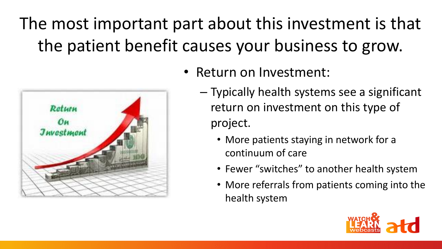

- Return on Investment:
	- Typically health systems see a significant return on investment on this type of project.
		- More patients staying in network for a continuum of care
		- Fewer "switches" to another health system
		- More referrals from patients coming into the health system

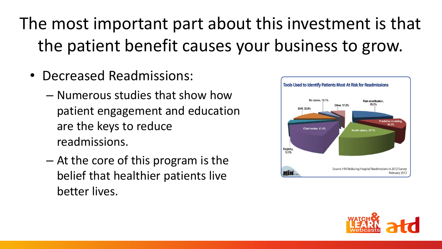- Decreased Readmissions:
	- Numerous studies that show how patient engagement and education are the keys to reduce readmissions.
	- At the core of this program is the belief that healthier patients live better lives.



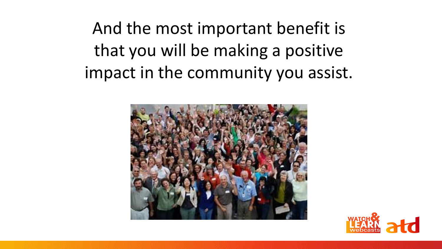And the most important benefit is that you will be making a positive impact in the community you assist.



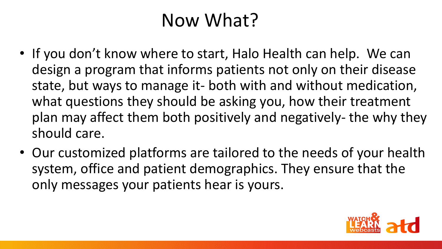#### Now What?

- If you don't know where to start, Halo Health can help. We can design a program that informs patients not only on their disease state, but ways to manage it- both with and without medication, what questions they should be asking you, how their treatment plan may affect them both positively and negatively- the why they should care.
- Our customized platforms are tailored to the needs of your health system, office and patient demographics. They ensure that the only messages your patients hear is yours.